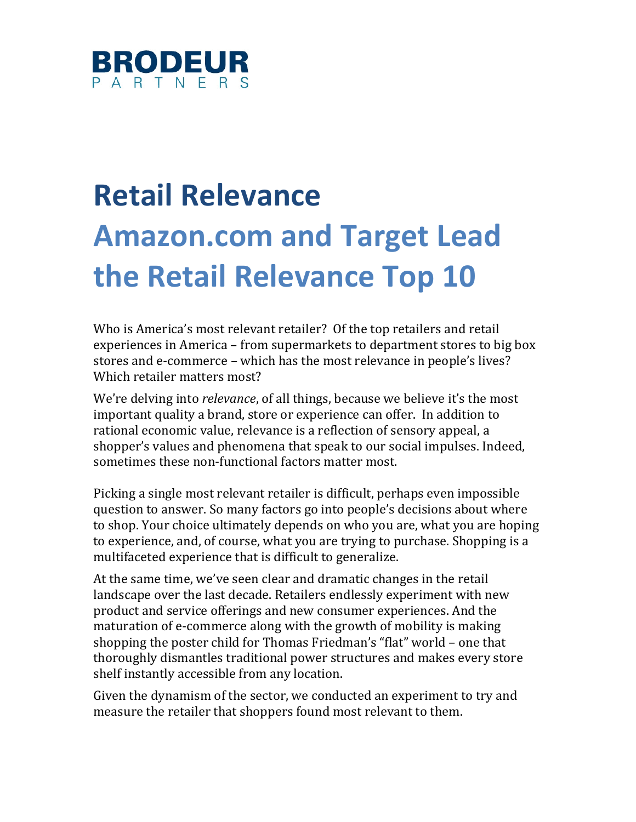

# **Retail Relevance Amazon.com and Target Lead the Retail Relevance Top 10**

Who is America's most relevant retailer? Of the top retailers and retail experiences in America – from supermarkets to department stores to big box stores and e-commerce – which has the most relevance in people's lives? Which retailer matters most?

We're delving into *relevance*, of all things, because we believe it's the most important quality a brand, store or experience can offer. In addition to rational economic value, relevance is a reflection of sensory appeal, a shopper's values and phenomena that speak to our social impulses. Indeed, sometimes these non-functional factors matter most.

Picking a single most relevant retailer is difficult, perhaps even impossible question to answer. So many factors go into people's decisions about where to shop. Your choice ultimately depends on who you are, what you are hoping to experience, and, of course, what you are trying to purchase. Shopping is a multifaceted experience that is difficult to generalize.

At the same time, we've seen clear and dramatic changes in the retail landscape over the last decade. Retailers endlessly experiment with new product and service offerings and new consumer experiences. And the maturation of e-commerce along with the growth of mobility is making shopping the poster child for Thomas Friedman's "flat" world – one that thoroughly dismantles traditional power structures and makes every store shelf instantly accessible from any location.

Given the dynamism of the sector, we conducted an experiment to try and measure the retailer that shoppers found most relevant to them.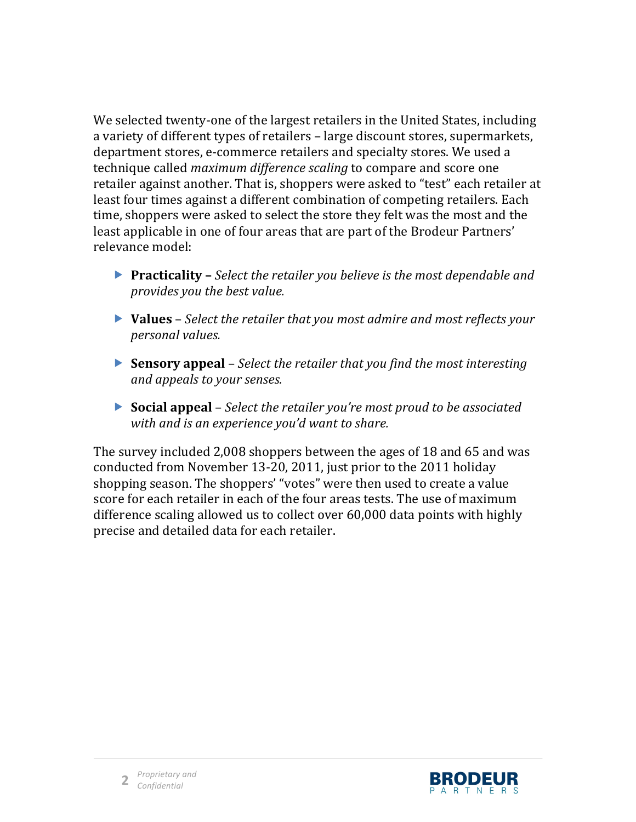We selected twenty-one of the largest retailers in the United States, including a variety of different types of retailers – large discount stores, supermarkets, department stores, e-commerce retailers and specialty stores. We used a technique called *maximum difference scaling* to compare and score one retailer against another. That is, shoppers were asked to "test" each retailer at least four times against a different combination of competing retailers. Each time, shoppers were asked to select the store they felt was the most and the least applicable in one of four areas that are part of the Brodeur Partners' relevance model:

- **Practicality** *Select the retailer you believe is the most dependable and provides you the best value.*
- **Values** *Select the retailer that you most admire and most reflects your personal,values.*
- **Sensory appeal** *Select the retailer that you find the most interesting and appeals to your senses.*
- **Social appeal** *Select the retailer you're most proud to be associated with,and,is,an,experience,you'd,want,to,share.*

The survey included 2,008 shoppers between the ages of 18 and 65 and was conducted from November 13-20, 2011, just prior to the 2011 holiday shopping season. The shoppers' "votes" were then used to create a value score for each retailer in each of the four areas tests. The use of maximum difference scaling allowed us to collect over  $60,000$  data points with highly precise and detailed data for each retailer.

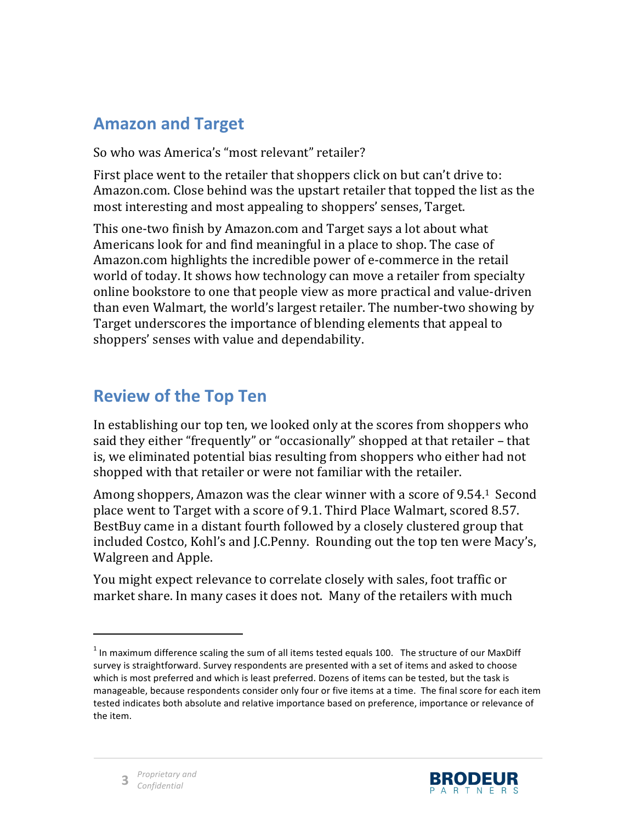### **Amazon'and'Target**

So who was America's "most relevant" retailer?

First place went to the retailer that shoppers click on but can't drive to: Amazon.com. Close behind was the upstart retailer that topped the list as the most interesting and most appealing to shoppers' senses, Target.

This one-two finish by Amazon.com and Target says a lot about what Americans look for and find meaningful in a place to shop. The case of Amazon.com highlights the incredible power of e-commerce in the retail world of today. It shows how technology can move a retailer from specialty online bookstore to one that people view as more practical and value-driven than even Walmart, the world's largest retailer. The number-two showing by Target underscores the importance of blending elements that appeal to shoppers' senses with value and dependability.

### **Review of the Top Ten**

In establishing our top ten, we looked only at the scores from shoppers who said they either "frequently" or "occasionally" shopped at that retailer – that is, we eliminated potential bias resulting from shoppers who either had not shopped with that retailer or were not familiar with the retailer.

Among shoppers, Amazon was the clear winner with a score of 9.54.1 Second place went to Target with a score of 9.1. Third Place Walmart, scored 8.57. BestBuy came in a distant fourth followed by a closely clustered group that included Costco, Kohl's and J.C.Penny. Rounding out the top ten were Macy's, Walgreen and Apple.

You might expect relevance to correlate closely with sales, foot traffic or market share. In many cases it does not. Many of the retailers with much



!!!!!!!!!!!!!!!!!!!!!!!!!!!!!!!!!!!!!!!!!!!!!!!!!!

 $<sup>1</sup>$  In maximum difference scaling the sum of all items tested equals 100. The structure of our MaxDiff</sup> survey is straightforward. Survey respondents are presented with a set of items and asked to choose which is most preferred and which is least preferred. Dozens of items can be tested, but the task is manageable, because respondents consider only four or five items at a time. The final score for each item tested indicates both absolute and relative importance based on preference, importance or relevance of the item.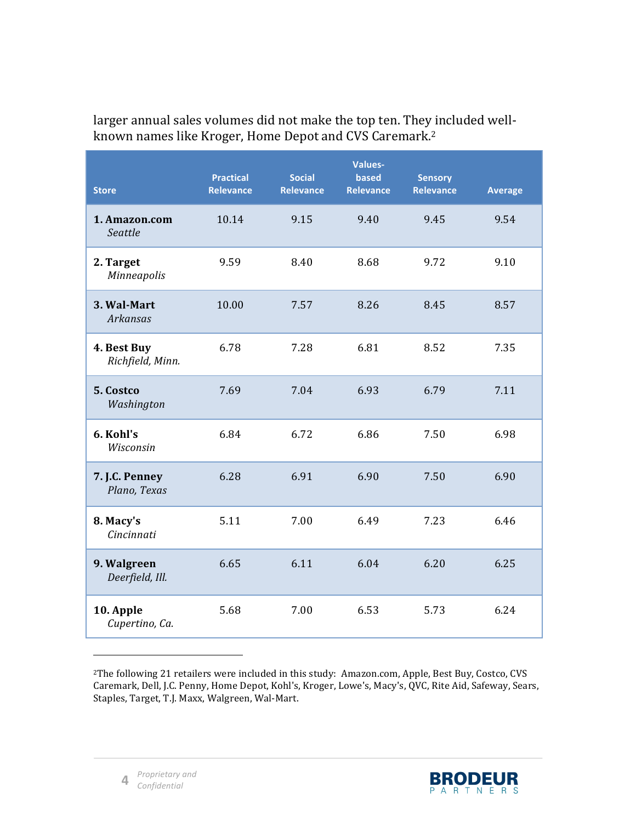| <b>Store</b>                    | <b>Practical</b><br><b>Relevance</b> | <b>Social</b><br><b>Relevance</b> | Values-<br>based<br><b>Relevance</b> | <b>Sensory</b><br><b>Relevance</b> | <b>Average</b> |
|---------------------------------|--------------------------------------|-----------------------------------|--------------------------------------|------------------------------------|----------------|
| 1. Amazon.com<br>Seattle        | 10.14                                | 9.15                              | 9.40                                 | 9.45                               | 9.54           |
| 2. Target<br>Minneapolis        | 9.59                                 | 8.40                              | 8.68                                 | 9.72                               | 9.10           |
| 3. Wal-Mart<br><b>Arkansas</b>  | 10.00                                | 7.57                              | 8.26                                 | 8.45                               | 8.57           |
| 4. Best Buy<br>Richfield, Minn. | 6.78                                 | 7.28                              | 6.81                                 | 8.52                               | 7.35           |
| 5. Costco<br>Washington         | 7.69                                 | 7.04                              | 6.93                                 | 6.79                               | 7.11           |
| 6. Kohl's<br>Wisconsin          | 6.84                                 | 6.72                              | 6.86                                 | 7.50                               | 6.98           |
| 7. J.C. Penney<br>Plano, Texas  | 6.28                                 | 6.91                              | 6.90                                 | 7.50                               | 6.90           |
| 8. Macy's<br>Cincinnati         | 5.11                                 | 7.00                              | 6.49                                 | 7.23                               | 6.46           |
| 9. Walgreen<br>Deerfield, Ill.  | 6.65                                 | 6.11                              | 6.04                                 | 6.20                               | 6.25           |
| 10. Apple<br>Cupertino, Ca.     | 5.68                                 | 7.00                              | 6.53                                 | 5.73                               | 6.24           |

larger annual sales volumes did not make the top ten. They included wellknown names like Kroger, Home Depot and CVS Caremark.<sup>2</sup>

<sup>2</sup>The following 21 retailers were included in this study: Amazon.com, Apple, Best Buy, Costco, CVS Caremark, Dell, J.C. Penny, Home Depot, Kohl's, Kroger, Lowe's, Macy's, QVC, Rite Aid, Safeway, Sears, Staples, Target, T.J. Maxx, Walgreen, Wal-Mart.

!!!!!!!!!!!!!!!!!!!!!!!!!!!!!!!!!!!!!!!!!!!!!!!!!!

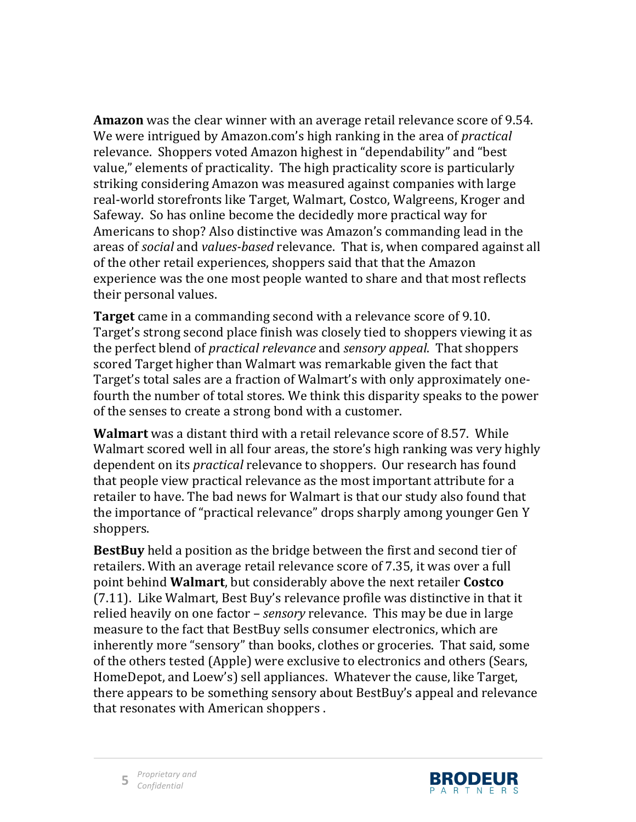**Amazon** was the clear winner with an average retail relevance score of 9.54. We were intrigued by Amazon.com's high ranking in the area of *practical* relevance. Shoppers voted Amazon highest in "dependability" and "best" value," elements of practicality. The high practicality score is particularly striking considering Amazon was measured against companies with large real-world storefronts like Target, Walmart, Costco, Walgreens, Kroger and Safeway. So has online become the decidedly more practical way for Americans to shop? Also distinctive was Amazon's commanding lead in the areas of *social* and *values-based* relevance. That is, when compared against all of the other retail experiences, shoppers said that that the Amazon experience was the one most people wanted to share and that most reflects their personal values.

**Target** came in a commanding second with a relevance score of 9.10. Target's strong second place finish was closely tied to shoppers viewing it as the perfect blend of *practical relevance* and *sensory appeal*. That shoppers scored Target higher than Walmart was remarkable given the fact that Target's total sales are a fraction of Walmart's with only approximately onefourth the number of total stores. We think this disparity speaks to the power of the senses to create a strong bond with a customer.

**Walmart** was a distant third with a retail relevance score of 8.57. While Walmart scored well in all four areas, the store's high ranking was very highly dependent on its *practical* relevance to shoppers. Our research has found that people view practical relevance as the most important attribute for a retailer to have. The bad news for Walmart is that our study also found that the importance of "practical relevance" drops sharply among younger Gen Y shoppers.

**BestBuy** held a position as the bridge between the first and second tier of retailers. With an average retail relevance score of 7.35, it was over a full point behind **Walmart**, but considerably above the next retailer **Costco** (7.11). Like Walmart, Best Buy's relevance profile was distinctive in that it relied heavily on one factor – *sensory* relevance. This may be due in large measure to the fact that BestBuy sells consumer electronics, which are inherently more "sensory" than books, clothes or groceries. That said, some of the others tested (Apple) were exclusive to electronics and others (Sears, HomeDepot, and Loew's) sell appliances. Whatever the cause, like Target, there appears to be something sensory about BestBuy's appeal and relevance that resonates with American shoppers.

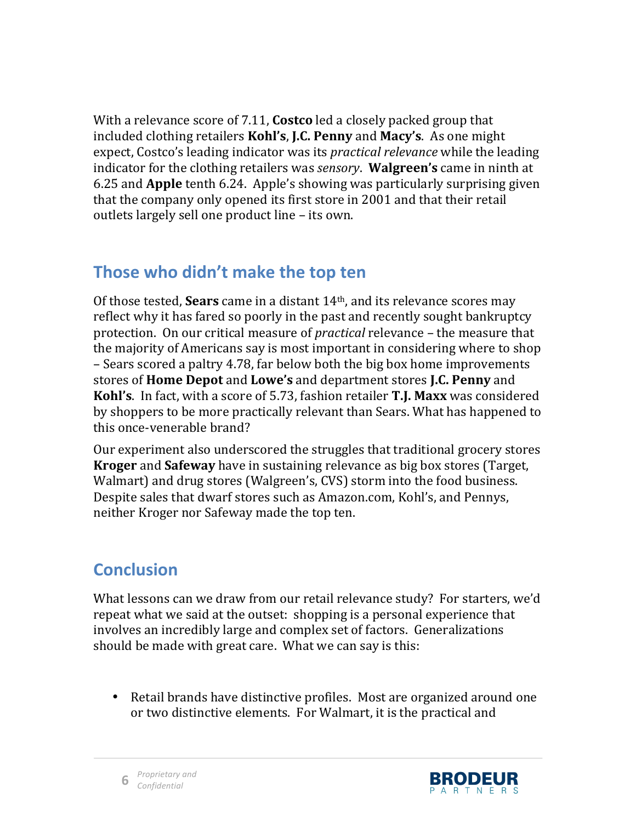With a relevance score of 7.11, **Costco** led a closely packed group that included clothing retailers **Kohl's, J.C. Penny** and **Macy's**. As one might expect, Costco's leading indicator was its *practical relevance* while the leading indicator for the clothing retailers was *sensory*. **Walgreen's** came in ninth at 6.25 and **Apple** tenth 6.24. Apple's showing was particularly surprising given that the company only opened its first store in 2001 and that their retail outlets largely sell one product line – its own.

#### Those who didn't make the top ten

Of those tested, **Sears** came in a distant 14<sup>th</sup>, and its relevance scores may reflect why it has fared so poorly in the past and recently sought bankruptcy protection. On our critical measure of *practical* relevance – the measure that the majority of Americans say is most important in considering where to shop – Sears scored a paltry 4.78, far below both the big box home improvements stores!of!**Home Depot** and!**Lowe's** and!department!stores!**J.C.)Penny** and! **Kohl's**. In fact, with a score of 5.73, fashion retailer **T.J. Maxx** was considered by shoppers to be more practically relevant than Sears. What has happened to this once-venerable brand?

Our experiment also underscored the struggles that traditional grocery stores **Kroger** and **Safeway** have in sustaining relevance as big box stores (Target, Walmart) and drug stores (Walgreen's, CVS) storm into the food business. Despite sales that dwarf stores such as Amazon.com, Kohl's, and Pennys, neither Kroger nor Safeway made the top ten.

## **Conclusion**

What lessons can we draw from our retail relevance study? For starters, we'd repeat what we said at the outset: shopping is a personal experience that involves an incredibly large and complex set of factors. Generalizations should be made with great care. What we can say is this:

• Retail brands have distinctive profiles. Most are organized around one or two distinctive elements. For Walmart, it is the practical and



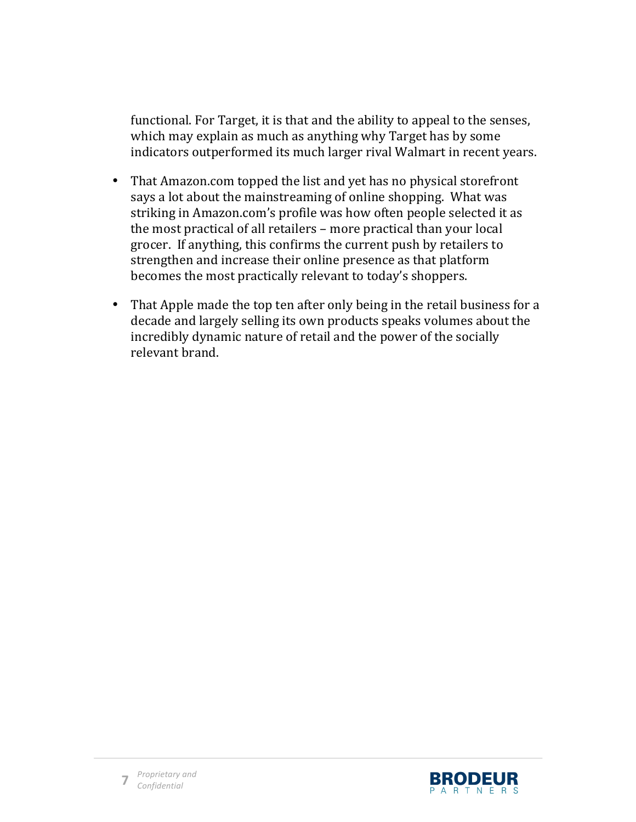functional. For Target, it is that and the ability to appeal to the senses, which may explain as much as anything why Target has by some indicators outperformed its much larger rival Walmart in recent years.

- That Amazon.com topped the list and yet has no physical storefront says a lot about the mainstreaming of online shopping. What was striking in Amazon.com's profile was how often people selected it as the most practical of all retailers – more practical than your local grocer. If anything, this confirms the current push by retailers to strengthen and increase their online presence as that platform becomes the most practically relevant to today's shoppers.
- That Apple made the top ten after only being in the retail business for a decade and largely selling its own products speaks volumes about the incredibly dynamic nature of retail and the power of the socially relevant brand.